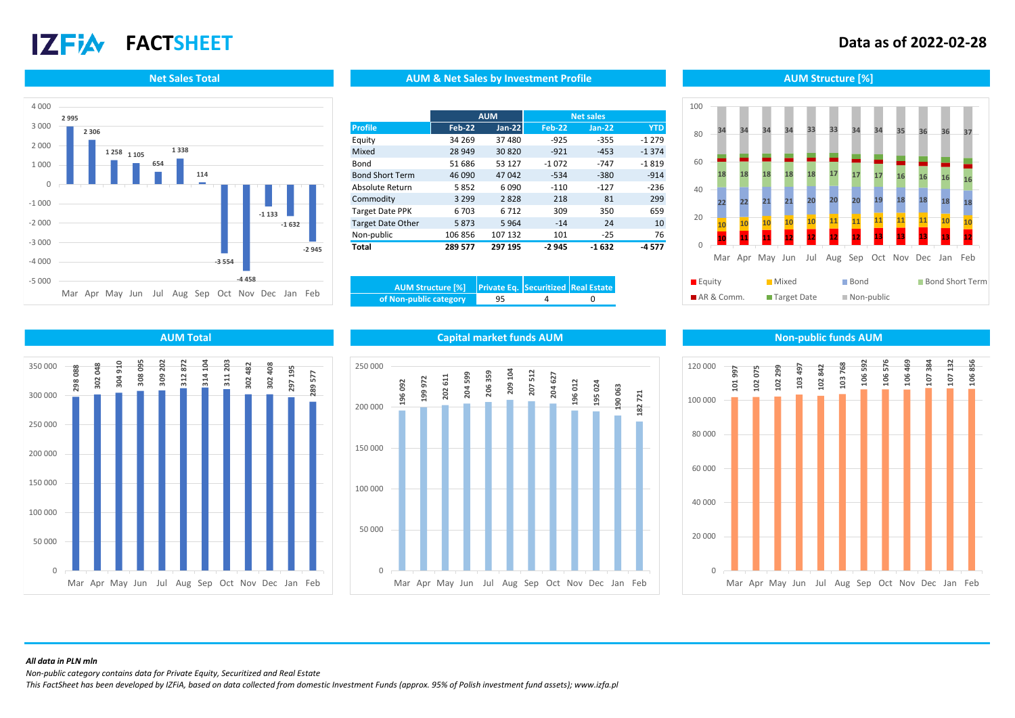# **17 FIA**

## **FACTSHEET Data as of 2022-02-28**



### **Net Sales Total AUM Structure [%]** AUM AUM & Net Sales by Investment Profile Aument Aum Structure [%]

|                          |               | <b>AUM</b><br><b>Net sales</b> |               |          |            |
|--------------------------|---------------|--------------------------------|---------------|----------|------------|
| <b>Profile</b>           | <b>Feb-22</b> | $Jan-22$                       | <b>Feb-22</b> | $Jan-22$ | <b>YTD</b> |
| Equity                   | 34 269        | 37480                          | $-925$        | $-355$   | $-1279$    |
| Mixed                    | 28 949        | 30820                          | $-921$        | $-453$   | $-1374$    |
| Bond                     | 51 686        | 53 127                         | $-1072$       | $-747$   | $-1819$    |
| <b>Bond Short Term</b>   | 46 090        | 47042                          | $-534$        | $-380$   | $-914$     |
| Absolute Return          | 5852          | 6090                           | $-110$        | $-127$   | $-236$     |
| Commodity                | 3 2 9 9       | 2828                           | 218           | 81       | 299        |
| <b>Target Date PPK</b>   | 6 703         | 6712                           | 309           | 350      | 659        |
| <b>Target Date Other</b> | 5873          | 5964                           | $-14$         | 24       | 10         |
| Non-public               | 106 856       | 107 132                        | 101           | $-25$    | 76         |
| Total                    | 289 577       | 297 195                        | $-2945$       | $-1632$  | -4577      |

| of Non-public category | 95 |  |
|------------------------|----|--|







### **AUM Total Capital market funds AUM Non-public funds AUM**



### *All data in PLN mln*

*Non-public category contains data for Private Equity, Securitized and Real Estate*

*This FactSheet has been developed by IZFiA, based on data collected from domestic Investment Funds (approx. 95% of Polish investment fund assets); www.izfa.pl*